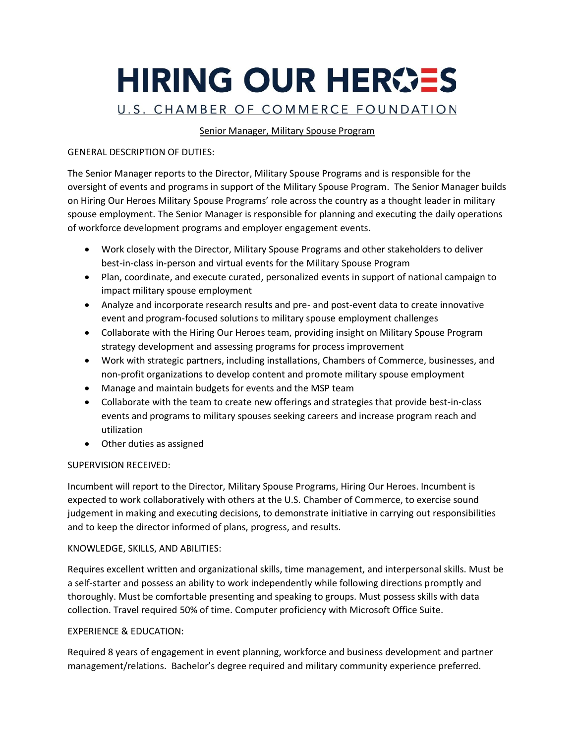# HIRING OUR HEROES U.S. CHAMBER OF COMMERCE FOUNDATION

# Senior Manager, Military Spouse Program

# GENERAL DESCRIPTION OF DUTIES:

The Senior Manager reports to the Director, Military Spouse Programs and is responsible for the oversight of events and programs in support of the Military Spouse Program. The Senior Manager builds on Hiring Our Heroes Military Spouse Programs' role across the country as a thought leader in military spouse employment. The Senior Manager is responsible for planning and executing the daily operations of workforce development programs and employer engagement events.

- Work closely with the Director, Military Spouse Programs and other stakeholders to deliver best-in-class in-person and virtual events for the Military Spouse Program
- Plan, coordinate, and execute curated, personalized events in support of national campaign to impact military spouse employment
- Analyze and incorporate research results and pre- and post-event data to create innovative event and program-focused solutions to military spouse employment challenges
- Collaborate with the Hiring Our Heroes team, providing insight on Military Spouse Program strategy development and assessing programs for process improvement
- Work with strategic partners, including installations, Chambers of Commerce, businesses, and non-profit organizations to develop content and promote military spouse employment
- Manage and maintain budgets for events and the MSP team
- Collaborate with the team to create new offerings and strategies that provide best-in-class events and programs to military spouses seeking careers and increase program reach and utilization
- Other duties as assigned

### SUPERVISION RECEIVED:

Incumbent will report to the Director, Military Spouse Programs, Hiring Our Heroes. Incumbent is expected to work collaboratively with others at the U.S. Chamber of Commerce, to exercise sound judgement in making and executing decisions, to demonstrate initiative in carrying out responsibilities and to keep the director informed of plans, progress, and results.

### KNOWLEDGE, SKILLS, AND ABILITIES:

Requires excellent written and organizational skills, time management, and interpersonal skills. Must be a self-starter and possess an ability to work independently while following directions promptly and thoroughly. Must be comfortable presenting and speaking to groups. Must possess skills with data collection. Travel required 50% of time. Computer proficiency with Microsoft Office Suite.

### EXPERIENCE & EDUCATION:

Required 8 years of engagement in event planning, workforce and business development and partner management/relations. Bachelor's degree required and military community experience preferred.